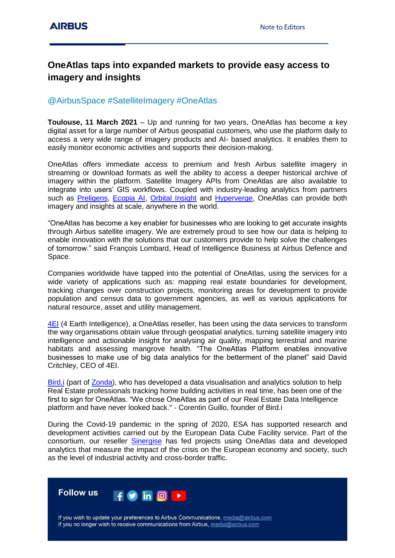## **OneAtlas taps into expanded markets to provide easy access to imagery and insights**

## @AirbusSpace #SatelliteImagery #OneAtlas

**Toulouse, 11 March 2021** – Up and running for two years, OneAtlas has become a key digital asset for a large number of Airbus geospatial customers, who use the platform daily to access a very wide range of imagery products and AI- based analytics. It enables them to easily monitor economic activities and supports their decision-making.

OneAtlas offers immediate access to premium and fresh Airbus satellite imagery in streaming or download formats as well the ability to access a deeper historical archive of imagery within the platform. Satellite Imagery APIs from OneAtlas are also available to integrate into users' GIS workflows. Coupled with industry-leading analytics from partners such as [Preligens,](https://www.preligens.com/) [Ecopia AI,](http://www.ecopia.ai/) [Orbital Insight](https://orbitalinsight.com/) and [Hyperverge,](https://hyperverge.co/) OneAtlas can provide both imagery and insights at scale, anywhere in the world.

"OneAtlas has become a key enabler for businesses who are looking to get accurate insights through Airbus satellite imagery. We are extremely proud to see how our data is helping to enable innovation with the solutions that our customers provide to help solve the challenges of tomorrow." said François Lombard, Head of Intelligence Business at Airbus Defence and Space.

Companies worldwide have tapped into the potential of OneAtlas, using the services for a wide variety of applications such as: mapping real estate boundaries for development, tracking changes over construction projects, monitoring areas for development to provide population and census data to government agencies, as well as various applications for natural resource, asset and utility management.

[4EI](https://www.4earthintelligence.com/) (4 Earth Intelligence), a OneAtlas reseller, has been using the data services to transform the way organisations obtain value through geospatial analytics, turning satellite imagery into intelligence and actionable insight for analysing air quality, mapping terrestrial and marine habitats and assessing mangrove health. "The OneAtlas Platform enables innovative businesses to make use of big data analytics for the betterment of the planet" said David Critchley, CEO of 4EI.

Bird. (part of [Zonda\)](https://zondahome.com/), who has developed a data visualisation and analytics solution to help Real Estate professionals tracking home building activities in real time, has been one of the first to sign for OneAtlas. "We chose OneAtlas as part of our Real Estate Data Intelligence platform and have never looked back." - Corentin Guillo, founder of Bird.i

During the Covid-19 pandemic in the spring of 2020, ESA has supported research and development activities carried out by the European Data Cube Facility service. Part of the consortium, our reseller [Sinergise](https://www.sinergise.com/) has fed projects using OneAtlas data and developed analytics that measure the impact of the crisis on the European economy and society, such as the level of industrial activity and cross-border traffic.